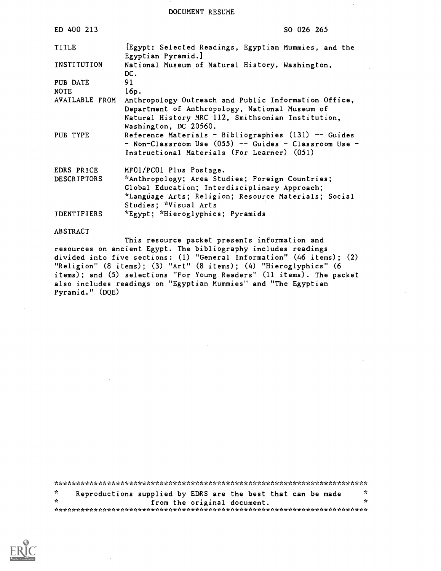DOCUMENT RESUME

| ED 400 213         | SO 026 265                                                                                                                                                                           |
|--------------------|--------------------------------------------------------------------------------------------------------------------------------------------------------------------------------------|
| TITLE              | [Egypt: Selected Readings, Egyptian Mummies, and the<br>Egyptian Pyramid.]                                                                                                           |
| INSTITUTION        | National Museum of Natural History, Washington,<br>DC.                                                                                                                               |
| PUB DATE           | 91                                                                                                                                                                                   |
| <b>NOTE</b>        | 16p.                                                                                                                                                                                 |
| AVAILABLE FROM     | Anthropology Outreach and Public Information Office,<br>Department of Anthropology, National Museum of<br>Natural History MRC 112, Smithsonian Institution,<br>Washington, DC 20560. |
| PUB TYPE           | Reference Materials - Bibliographies $(131)$ -- Guides<br>- Non-Classroom Use $(055)$ -- Guides - Classroom Use -<br>Instructional Materials (For Learner) (051)                     |
| EDRS PRICE         | MF01/PC01 Plus Postage.                                                                                                                                                              |
| <b>DESCRIPTORS</b> | *Anthropology; Area Studies; Foreign Countries;<br>Global Education; Interdisciplinary Approach;<br>*Language Arts; Religion; Resource Materials; Social<br>Studies; *Visual Arts    |
| <b>IDENTIFIERS</b> | *Egypt; *Hieroglyphics; Pyramids                                                                                                                                                     |

#### ABSTRACT

This resource packet presents information and resources on ancient Egypt. The bibliography includes readings divided into five sections: (1) "General Information" (46 items); (2) "Religion" (8 items); (3) "Art" (8 items); (4) "Hieroglyphics" (6 items); and (5) selections "For Young Readers" (11 items). The packet also includes readings on "Egyptian Mummies" and "The Egyptian Pyramid." (DQE)

\*\*\*\*\*\*\*\*\*/ \* c\* L;,;..::.:. c\*\*\*\*\*\*\*\*\*\*\*\*\*\*\*\*\*\*\*\*\*\*\*\*\*\*k\*\*\*\*\*\*\*\* <sup>c</sup>  $\star$ Reproductions supplied by EDRS are the best that can be made  $*$ <br>from the original document. \*  $\frac{1}{x}$   $\frac{1}{x}$   $\frac{1}{x}$   $\frac{1}{x}$   $\frac{1}{x}$   $\frac{1}{x}$   $\frac{1}{x}$   $\frac{1}{x}$   $\frac{1}{x}$   $\frac{1}{x}$   $\frac{1}{x}$   $\frac{1}{x}$   $\frac{1}{x}$   $\frac{1}{x}$   $\frac{1}{x}$   $\frac{1}{x}$   $\frac{1}{x}$   $\frac{1}{x}$   $\frac{1}{x}$   $\frac{1}{x}$   $\frac{1}{x}$   $\frac{1}{x}$ 

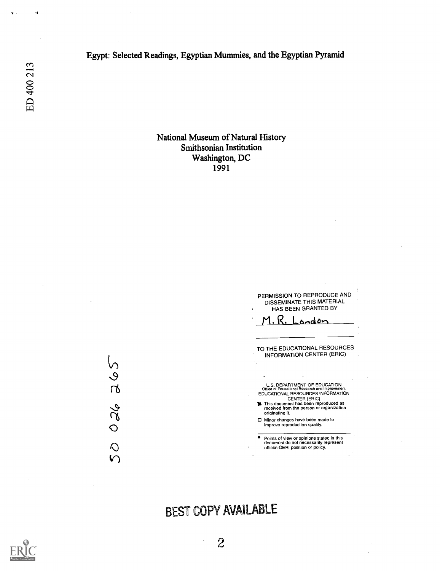Egypt: Selected Readings, Egyptian Mummies, and the Egyptian Pyramid

ED 400 213

 $\ddot{\mathbf{v}}$  .

 $\ddot{\phantom{a}}$ 

National Museum of Natural History Smithsonian Institution Washington, DC 1991



# BEST COPY AVAILABLE



ى<br>ك

 $\chi$ 

 $\bigcirc$  $\mathbf{\Omega}$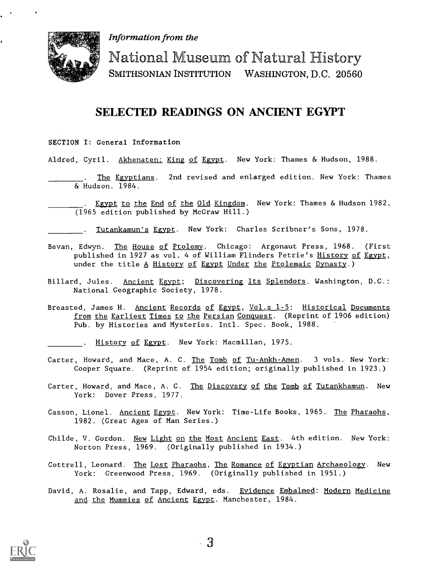Information from the



National Museum of Natural History SMITHSONIAN INSTITUTION WASHINGTON, D.C. 20560

## SELECTED READINGS ON ANCIENT EGYPT

- SECTION I: General Information
- Aldred, Cyril. Akhenaten: King of Egypt. New York: Thames & Hudson, 1988.
	- The Egyptians. 2nd revised and enlarged edition. New York: Thames & Hudson. 1984.
	- Egypt to the End of the Old Kingdom. New York: Thames & Hudson 1982. (1965 edition published by McGraw Hill.)

. Tutankamun's Egypt. New York: Charles Scribner's Sons, 1978.

- Bevan, Edwyn. The House of Ptolemy. Chicago: Argonaut Press, 1968. (First published in 1927 as vol. 4 of William Flinders Petrie's History of Egypt, under the title A History of Egypt Under the Ptolemaic Dynasty.)
- Billard, Jules. Ancient Egypt; Discovering Its Splendors. Washington, D.C.: National Geographic Society, 1978.
- Breasted, James H. Ancient Records of Egypt, Vol.s 1-5: Historical Documents from the Earliest Times to the Persian Conquest. (Reprint of 1906 edition) Pub. by Histories and Mysteries. Intl. Spec. Book, 1988.
	- . History of Egypt. New York: Macmillan, 1975.
- Carter, Howard, and Mace, A. C. The Tomb of Tu-Ankh-Amen. 3 vols. New York: Cooper Square. (Reprint of 1954 edition; originally published in 1923.)
- Carter, Howard, and Mace, A. C. The Discovery of the Tomb of Tutankhamun. New York: Dover Press, 1977.
- Casson, Lionel. Ancient Egypt. New York: Time-Life Books, 1965. The Pharaohs, 1982. (Great Ages of Man Series.)
- Childe, V. Gordon. New Light on the Most Ancient East. 4th edition. New York: Norton Press, 1969. (Originally published in 1934.)
- Cottrell, Leonard. The Lost Pharaohs, The Romance of Egyptian Archaeology. New York: Greenwood Press, 1969. (Originally published in 1951.)
- David, A. Rosalie, and Tapp, Edward, eds. Evidence Embalmed: Modern Medicine and the Mummies of Ancient Egypt. Manchester, 1984.

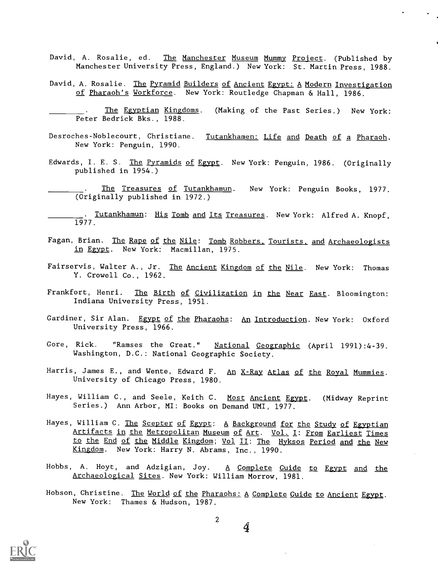- David, A. Rosalie, ed. The Manchester Museum Mummy Project. (Published by Manchester University Press, England.) New York: St. Martin Press, 1988.
- David, A. Rosalie. The Pyramid Builders of Ancient Egypt: A Modern Investigation of Pharaoh's Workforce. New York: Routledge Chapman & Hall, 1986.

The Egyptian Kingdoms. (Making of the Past Series.) New York: Peter Bedrick Bks., 1988.

- Desroches-Noblecourt, Christiane. Tutankhamen: Life and Death of a Pharaoh. New York: Penguin, 1990.
- Edwards, I. E. S. The Pyramids of Egypt. New York: Penguin, 1986. (Originally published in 1954.)
- The Treasures of Tutankhamun. New York: Penguin Books, 1977. (Originally published in 1972.)
- . Tutankhamun: His Tomb and Its Treasures. New York: Alfred A. Knopf,  $1977$ .
- Fagan, Brian. The Rape of the Nile: Tomb Robbers. Tourists, and Archaeologists in Egypt. New York: Macmillan, 1975.
- Fairservis, Walter A., Jr. The Ancient Kingdom of the Nile. New York: Thomas Y. Crowell Co., 1962.
- Frankfort, Henri. The Birth of Civilization in the Near East. Bloomington: Indiana University Press, 1951.
- Gardiner, Sir Alan. Egypt of the Pharaohs: An Introduction. New York: Oxford University Press, 1966.
- Gore, Rick. "Ramses the Great." National Geographic (April 1991):4-39. Washington, D.C.: National Geographic Society.
- Harris, James E., and Wente, Edward F. An X-Ray Atlas of the Royal Mummies. University of Chicago Press, 1980.
- Hayes, William C., and Seele, Keith C. Most Ancient Egypt. (Midway Reprint Series.) Ann Arbor, MI: Books on Demand UMI, 1977.
- Hayes, William C. The Scepter of Egypt: A Background for the Study of Egyptian Artifacts in the Metropolitan Museum of Art. Vol. I: From Earliest Times to the End of the Middle Kingdom; Vol II: The Hyksos Period and the New Kingdom. New York: Harry N. Abrams, Inc., 1990.
- Hobbs, A. Hoyt, and Adzigian, Joy.  $A$  Complete Guide to Egypt and the Archaeological Sites. New York: William Morrow, 1981.
- Hobson, Christine. The World of the Pharaohs: A Complete Guide to Ancient Egypt. New York: Thames & Hudson, 1987.



 $\overline{2}$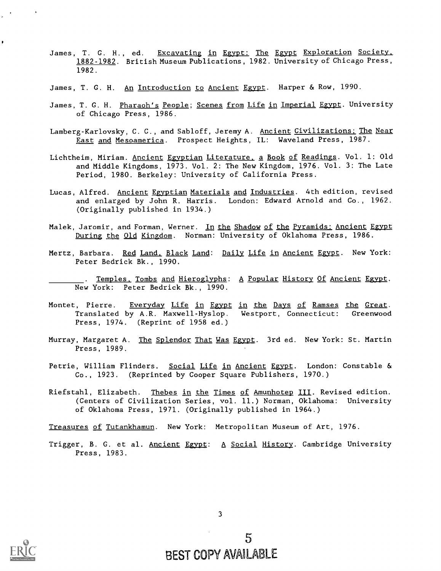- James, T. G. H., ed. Excavating in Egypt: The Egypt Exploration Society, 1882-1982. British Museum Publications, 1982. University of Chicago Press, 1982.
- James, T. G. H. An Introduction to Ancient Egypt. Harper & Row, 1990.
- James, T. G. H. Pharaoh's People; Scenes from Life in Imperial Egypt. University of Chicago Press, 1986.
- Lamberg-Karlovsky, C. C., and Sabloff, Jeremy A. Ancient Civilizations: The Near East and Mesoamerica. Prospect Heights, IL: Waveland Press, 1987.
- Lichtheim, Miriam. Ancient Egyptian Literature, a Book of Readings. Vol. 1: Old and Middle Kingdoms, 1973. Vol. 2: The New Kingdom, 1976. Vol. 3: The Late Period, 1980. Berkeley: University of California Press.
- Lucas, Alfred. Ancient Egyptian Materials and Industries. 4th edition, revised and enlarged by John R. Harris. London: Edward Arnold and Co., 1962. (Originally published in 1934.)
- Malek, Jaromir, and Forman, Werner. In the Shadow of the Pyramids: Ancient Egypt During the Old Kingdom. Norman: University of Oklahoma Press, 1986.
- Mertz, Barbara. Red Land. Black Land: Daily Life in Ancient Egypt. New York: Peter Bedrick Bk., 1990.
- . Temples, Tombs and Hieroglyphs: A Popular History Of Ancient Egypt. New York: Peter Bedrick Bk., 1990.
- Montet, Pierre. Everyday Life in Egypt in the Days of Ramses the Great. Translated by A.R. Maxwell-Hyslop. Westport, Connecticut: Greenwood Press, 1974. (Reprint of 1958 ed.)
- Murray, Margaret A. The Splendor That Was Egypt. 3rd ed. New York: St. Martin Press, 1989.
- Petrie, William Flinders. Social Life in Ancient Egypt. London: Constable & Co., 1923. (Reprinted by Cooper Square Publishers, 1970.)
- Riefstahl, Elizabeth. Thebes in the Times of Amunhotep III. Revised edition. (Centers of Civilization Series, vol. 11.) Norman, Oklahoma: University of Oklahoma Press, 1971. (Originally published in 1964.)
- Treasures of Tutankhamun. New York: Metropolitan Museum of Art, 1976.
- Trigger, B. G. et al. Ancient Egypt: A Social History. Cambridge University Press, 1983.



3

5 BEST COPY AVAILABLE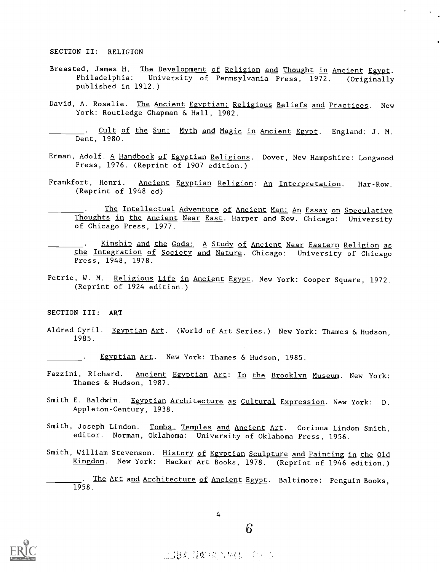#### SECTION II: RELIGION

- Breasted, James H. The Development of Religion and Thought in Ancient Egypt. Philadelphia: University of Pennsylvania Press, 1972. (Originally published in 1912.)
- David, A. Rosalie. The Ancient Egyptian: Religious Beliefs and Practices. New York: Routledge Chapman & Hall, 1982.

. Cult of the Sun: Myth and Magic in Ancient Egypt. England: J. M. Dent, 1980.

- Erman, Adolf. A Handbook of Egyptian Religions. Dover, New Hampshire: Longwood Press, 1976. (Reprint of 1907 edition.)
- Frankfort, Henri. Ancient Egyptian Religion: An Interpretation. Har-Row. (Reprint of 1948 ed)
- The Intellectual Adventure of Ancient Man: An Essay on Speculative Thoughts in the Ancient Near East. Harper and Row. Chicago: University of Chicago Press, 1977.
- Kinship and the Gods: A Study of Ancient Near Eastern Religion as the Integration of Society and Nature. Chicago: University of Chicago Press, 1948, 1978.
- Petrie, W. M. Religious Life in Ancient Egypt. New York: Cooper Square, 1972. (Reprint of 1924 edition.)

#### SECTION III: ART

Aldred Cyril. Egyptian Art. (World of Art Series.) New York: Thames & Hudson, 1985.

Egyptian Art. New York: Thames & Hudson, 1985. **Contractor** 

- Fazzini, Richard. Ancient Egyptian Art: In the Brooklyn Museum. New York: Thames & Hudson, 1987.
- Smith E. Baldwin. Egyptian Architecture as Cultural Expression. New York: D. Appleton-Century, 1938.
- Smith, Joseph Lindon. Tombs, Temples and Ancient Art. Corinna Lindon Smith, editor. Norman, Oklahoma: University of Oklahoma Press, 1956.
- Smith, William Stevenson. History of Egyptian Sculpture and Painting in the Old Kingdom. New York: Hacker Art Books, 1978. (Reprint of 1946 edition.)

The Art and Architecture of Ancient Egypt. Baltimore: Penguin Books, 1958.



4

 $6\overline{6}$ 

2384 是烟花入林信一个小儿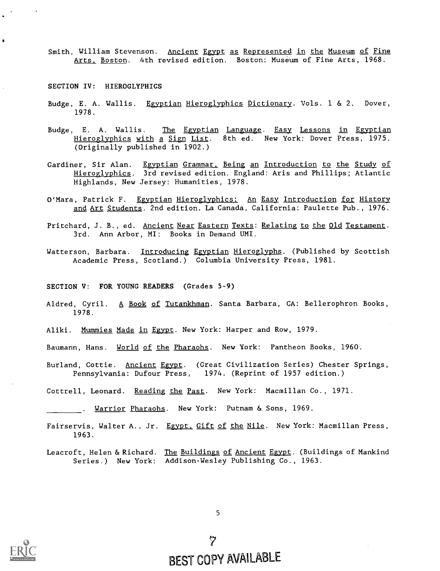Smith, William Stevenson. Ancient Egypt as Represented in the Museum of Fine Arts. Boston. 4th revised edition. Boston: Museum of Fine Arts, 1968.

SECTION IV: HIEROGLYPHICS

- Budge, E. A. Wallis. Egyptian Hieroglyphics Dictionary. Vols. 1 & 2. Dover, 1978.
- Budge, E. A. Wallis. The Egyptian Language. Easy Lessons in Egyptian Hieroglyphics with a Sign List. 8th ed. New York: Dover Press, 1975. (Originally published in 1902.)
- Gardiner, Sir Alan. Egyptian Grammar. Being an Introduction to the Study of Hieroglyphics. 3rd revised edition. England: Aris and Phillips; Atlantic Highlands, New Jersey: Humanities, 1978.
- O'Mara, Patrick F. Egyptian Hieroglyphics: An Easy Introduction for History and Art Students. 2nd edition. La Canada, California: Paulette Pub., 1976.
- Pritchard, J. B., ed. Ancient Near Eastern Texts: Relating to the Old Testament. 3rd. Ann Arbor, MI: Books in Demand UMI.
- Watterson, Barbara. Introducing Egyptian Hieroglyphs. (Published by Scottish Academic Press, Scotland.) Columbia University Press, 1981.

SECTION V: FOR YOUNG READERS (Grades 5-9)

- Aldred, Cyril. A Book of Tutankhman. Santa Barbara, CA: Bellerophron Books, 1978.
- Aliki. Mummies Made in Egypt. New York: Harper and Row, 1979.
- Baumann, Hans. World of the Pharaohs. New York: Pantheon Books, 1960.
- Burland, Cottie. <u>Ancient</u> <u>Egypt</u>. (Great Civilization Series) Chester Springs, Pennsylvania: Dufour Press, 1974. (Reprint of 1957 edition.)
- Cottrell, Leonard. Reading the Past. New York: Macmillan Co., 1971.
	- . <u>Warrior Pharaohs</u>. New York: Putnam & Sons, 1969.
- Fairservis, Walter A., Jr. Egypt, Gift of the Nile. New York: Macmillan Press, 1963.
- Leacroft, Helen & Richard. The Buildings of Ancient Egypt. (Buildings of Mankind Series.) New York: Addison-Wesley Publishing Co., 1963.



5

 $\gamma$ BEST COPY AVAILABLE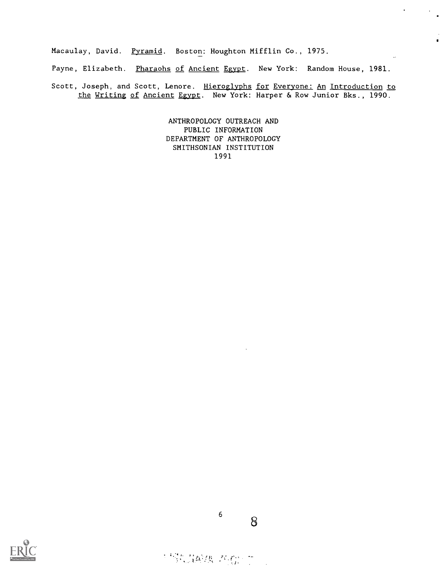Macaulay, David. Pyramid. Boston: Houghton Mifflin Co., 1975.

Payne, Elizabeth. Pharaohs of Ancient Egypt. New York: Random House, 1981.

 $\ddot{\phantom{a}}$ 

Scott, Joseph, and Scott, Lenore. Hieroglyphs for Everyone: An Introduction to the Writing of Ancient Egypt. New York: Harper & Row Junior Bks., 1990.

> ANTHROPOLOGY OUTREACH AND PUBLIC INFORMATION DEPARTMENT OF ANTHROPOLOGY SMITHSONIAN INSTITUTION 1991



68

# "你是A'换 不你。"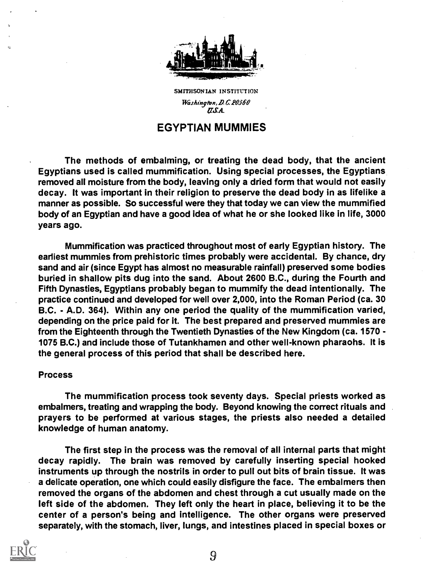

SMITHSONIAN INSTITUTION Washington, D.C. 20560  $\overline{LSA}$ .

## EGYPTIAN MUMMIES

The methods of embalming, or treating the dead body, that the ancient Egyptians used is called mummification. Using special processes, the Egyptians removed all moisture from the body, leaving only a dried form that would not easily decay. It was important in their religion to preserve the dead body in as lifelike a manner as possible. So successful were they that today we can view the mummified body of an Egyptian and have a good idea of what he or she looked like in life, 3000 years ago.

Mummification was practiced throughout most of early Egyptian history. The earliest mummies from prehistoric times probably were accidental. By chance, dry sand and air (since Egypt has almost no measurable rainfall) preserved some bodies buried in shallow pits dug into the sand. About 2600 B.C., during the Fourth and Fifth Dynasties, Egyptians probably began to mummify the dead intentionally. The practice continued and developed for well over 2,000, into the Roman Period (ca. 30 B.C. - A.D. 364). Within any one period the quality of the mummification varied, depending on the price paid for it. The best prepared and preserved mummies are from the Eighteenth through the Twentieth Dynasties of the New Kingdom (ca. 1570 - 1075 B.C.) and include those of Tutankhamen and other well-known pharaohs. It is the general process of this period that shall be described here.

### Process

The mummification process took seventy days. Special priests worked as embalmers, treating and wrapping the body. Beyond knowing the correct rituals and prayers to be performed at various stages, the priests also needed a detailed knowledge of human anatomy.

The first step in the process was the removal of all internal parts that might decay rapidly. The brain was removed by carefully inserting special hooked instruments up through the nostrils in order to pull out bits of brain tissue. It was a delicate operation, one which could easily disfigure the face. The embalmers then removed the organs of the abdomen and chest through a cut usually made on the left side of the abdomen. They left only the heart in place, believing it to be the center of a person's being and intelligence. The other organs were preserved separately, with the stomach, liver, lungs, and intestines placed in special boxes or

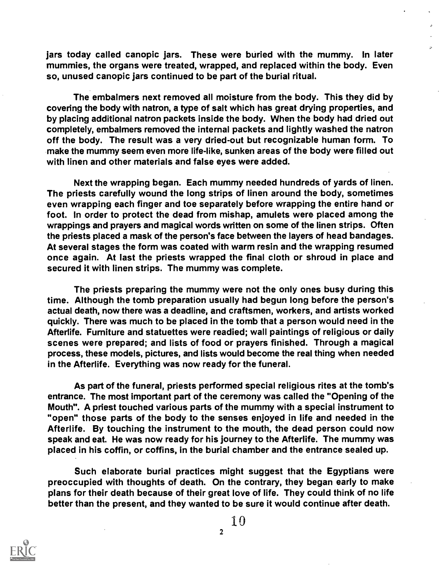jars today called canopic jars. These were buried with the mummy. In later mummies, the organs were treated, wrapped, and replaced within the body. Even so, unused canopic jars continued to be part of the burial ritual.

The embalmers next removed all moisture from the body. This they did by covering the body with natron, a type of salt which has great drying properties, and by placing additional natron packets inside the body. When the body had dried out completely, embalmers removed the internal packets and lightly washed the natron off the body. The result was a very dried-out but recognizable human form. To make the mummy seem even more life-like, sunken areas of the body were filled out with linen and other materials and false eyes were added.

Next the wrapping began. Each mummy needed hundreds of yards of linen. The priests carefully wound the long strips of linen around the body, sometimes even wrapping each finger and toe separately before wrapping the entire hand or foot. In order to protect the dead from mishap, amulets were placed among the wrappings and prayers and magical words written on some of the linen strips. Often the priests placed a mask of the person's face between the layers of head bandages. At several stages the form was coated with warm resin and the wrapping resumed once again. At last the priests wrapped the final cloth or shroud in place and secured it with linen strips. The mummy was complete.

The priests preparing the mummy were not the only ones busy during this time. Although the tomb preparation usually had begun long before the person's actual death, now there was a deadline, and craftsmen, workers, and artists worked quickly. There was much to be placed in the tomb that a person would need in the Afterlife. Furniture and statuettes were readied; wall paintings of religious or daily scenes were prepared; and lists of food or prayers finished. Through a magical process, these models, pictures, and lists would become the real thing when needed in the Afterlife. Everything was now ready for the funeral.

As part of the funeral, priests performed special religious rites at the tomb's entrance. The most important part of the ceremony was called the "Opening of the Mouth". A priest touched various parts of the mummy with a special instrument to "open" those parts of the body to the senses enjoyed in life and needed in the Afterlife. By touching the instrument to the mouth, the dead person could now speak and eat. He was now ready for his journey to the Afterlife. The mummy was placed in his coffin, or coffins, in the burial chamber and the entrance sealed up.

Such elaborate burial practices might suggest that the Egyptians were preoccupied with thoughts of death. On the contrary, they began early to make plans for their death because of their great love of life. They could think of no life better than the present, and they wanted to be sure it would continue after death.

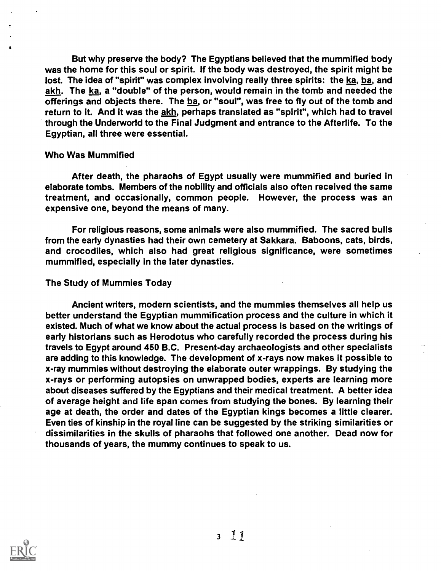But why preserve the body? The Egyptians believed that the mummified body was the home for this soul or spirit. If the body was destroyed, the spirit might be lost. The idea of "spirit" was complex involving really three spirits: the ka, ba, and akh. The ka, a "double" of the person, would remain in the tomb and needed the offerings and objects there. The ba, or "soul", was free to fly out of the tomb and return to it. And it was the akh, perhaps translated as "spirit", which had to travel through the Underworld to the Final Judgment and entrance to the Afterlife. To the Egyptian, all three were essential.

### Who Was Mummified

After death, the pharaohs of Egypt usually were mummified and buried in elaborate tombs. Members of the nobility and officials also often received the same treatment, and occasionally, common people. However, the process was an expensive one, beyond the means of many.

For religious reasons, some animals were also mummified. The sacred bulls from the early dynasties had their own cemetery at Sakkara. Baboons, cats, birds, and crocodiles, which also had great religious significance, were sometimes mummified, especially in the later dynasties.

### The Study of Mummies Today

Ancient writers, modern scientists, and the mummies themselves all help us better understand the Egyptian mummification process and the culture in which it existed. Much of what we know about the actual process is based on the writings of early historians such as Herodotus who carefully recorded the process during his travels to Egypt around 450 B.C. Present-day archaeologists and other specialists are adding to this knowledge. The development of x-rays now makes it possible to x-ray mummies without destroying the elaborate outer wrappings. By studying the x-rays or performing autopsies on unwrapped bodies, experts are learning more about diseases suffered by the Egyptians and their medical treatment. A better idea of average height and life span comes from studying the bones. By learning their age at death, the order and dates of the Egyptian kings becomes a little clearer. Even ties of kinship in the royal line can be suggested by the striking similarities or dissimilarities in the skulls of pharaohs that followed one another. Dead now for thousands of years, the mummy continues to speak to us.

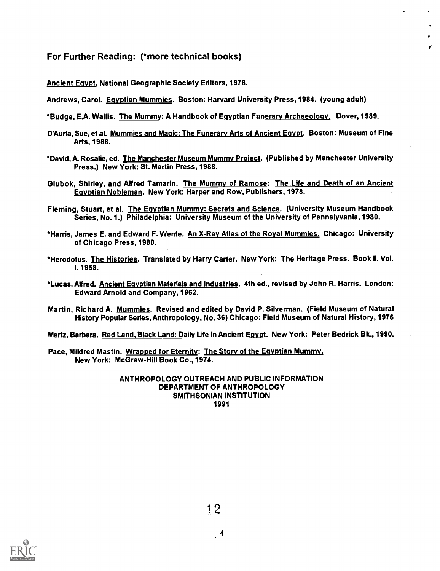For Further Reading: (\*more technical books)

Ancient Egypt, National Geographic Society Editors, 1978.

Andrews, Carol. Egyptian Mummies. Boston: Harvard University Press, 1984. (young adult)

\*Budge, EA. Wallis. The Mummy: A Handbook of Egyptian Funerary Archaeology. Dover, 1989.

D'Auria, Sue, et al. Mummies and Magic: The Funerary Arts of Ancient Egypt. Boston: Museum of Fine Arts, 1988.

 $\mathbf{r}$ Ä.

- \*David, A. Rosalie, ed. The Manchester Museum Mummy Project. (Published by Manchester University Press.) New York: St. Martin Press, 1988.
- Glubok, Shirley, and Alfred Tamarin. The Mummy of Ramose: The Life and Death of an Ancient Egyptian Nobleman. New York: Harper and Row, Publishers, 1978.
- Fleming, Stuart, et al. The Egyptian Mummy: Secrets and Science. (University Museum Handbook Series, No. 1.) Philadelphia: University Museum of the University of Pennslyvania, 1980.
- \*Harris, James E. and Edward F. Wente. An X-Ray Atlas of the Royal Mummies. Chicago: University of Chicago Press, 1980.
- \*Herodotus. The Histories. Translated by Harry Carter. New York: The Heritage Press. Book II. Vol. I. 1958.
- \*Lucas, Alfred. Ancient Egyptian Materials and Industries. 4th ed., revised by John R. Harris. London: Edward Arnold and Company, 1962.
- Martin, Richard A. Mummies. Revised and edited by David P. Silverman. (Field Museum of Natural History Popular Series, Anthropology, No. 36) Chicago: Field Museum of Natural History, 1976

Mertz, Barbara. Red Land, Black Land: Daily Life in Ancient Egypt. New York: Peter Bedrick Bk., 1990.

Pace, Mildred Mastin. Wrapped for Eternity: The Story of the Egyptian Mummy. New York: McGraw-Hill Book Co., 1974.

#### ANTHROPOLOGY OUTREACH AND PUBLIC INFORMATION DEPARTMENT OF ANTHROPOLOGY SMITHSONIAN INSTITUTION 1991

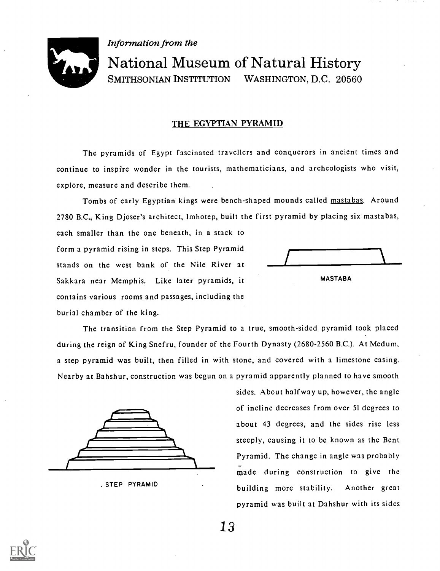

Information from the

# National Museum of Natural History SMITHSONIAN INSTITUTION WASHINGTON, D.C. 20560

## THE EGYPTIAN PYRAMID

The pyramids of Egypt fascinated travellers and conquerors in ancient times and continue to inspire wonder in the tourists, mathematicians, and archeologists who visit, explore, measure and describe them.

Tombs of early Egyptian kings were bench-shaped mounds called mastabas. Around 2780 B.C., King Djoser's architect, Imhotep, built the first pyramid by placing six mastabas,

each smaller than the one beneath, in a stack to form a pyramid rising in steps. This Step Pyramid stands on the west bank of the Nile River at Sakkara near Memphis. Like later pyramids, it MASTABA contains various rooms and passages, including the burial chamber of the king.



The transition from the Step Pyramid to a true, smooth -sided pyramid took placed during the reign of King Snefru, founder of the Fourth Dynasty (2680-2560 B.C.). At Medum, a step pyramid was built, then filled in with stone, and covered with a limestone casing. Nearby at Bahshur, construction was begun on a pyramid apparently planned to have smooth



. STEP PYRAMID

sides. About halfway up, however, the angle of incline decreases from over 51 degrees to about 43 degrees, and the sides rise less steeply, causing it to be known as the Bent Pyramid. The change in angle was probably made during construction to give the building more stability. Another great pyramid was built at Dahshur with its sides

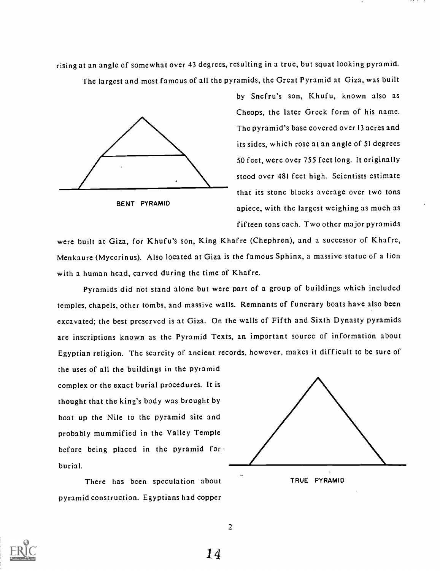rising at an angle of somewhat over 43 degrees, resulting in a true, but squat looking pyramid. The largest and most famous of all the pyramids, the Great Pyramid at Giza, was built



BENT PYRAMID

by Snefru's son, Khufu, known also as Cheops, the later Greek form of his name. The pyramid's base covered over 13 acres and its sides, which rose at an angle of 51 degrees 50 feet, were over 755 feet long. It originally stood over 481 feet high. Scientists estimate that its stone blocks average over two tons apiece, with the largest weighing as much as fifteen tons each. Two other major pyramids

were built at Giza, for Khufu's son, King Khafre (Chephren), and a successor of Khafre, Menkaure (Mycerinus). Also located at Giza is the famous Sphinx, a massive statue of a lion with a human head, carved during the time of Khafre.

Pyramids did not stand alone but were part of a group of buildings which included temples, chapels, other tombs, and massive walls. Remnants of funerary boats have also been excavated; the best preserved is at Giza. On the walls of Fifth and Sixth Dynasty pyramids are inscriptions known as the Pyramid Texts, an important source of information about Egyptian religion. The scarcity of ancient records, however, makes it difficult to be sure of

the uses of all the buildings in the pyramid complex or the exact burial procedures. It is thought that the king's body was brought by boat up the Nile to the pyramid site and probably mummified in the Valley Temple before being placed in the pyramid for burial.

There has been speculation about pyramid construction. Egyptians had copper







2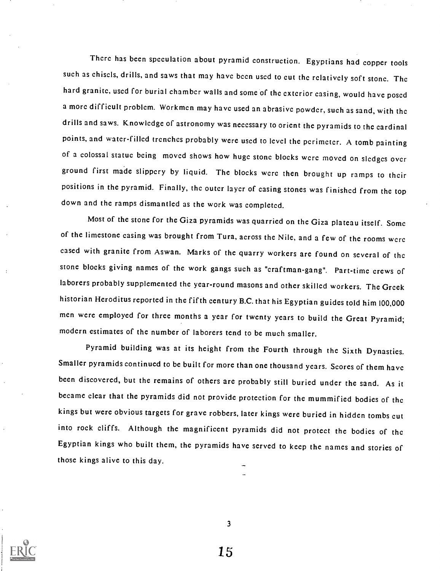There has been speculation about pyramid construction. Egyptians had copper tools such as chisels, drills, and saws that may have been used to cut the relatively soft stone. The hard granite, used for burial chamber walls and some of the exterior casing, would have posed a more difficult problem. Workmen may have used an abrasive powder, such as sand, with the drills and saws. Knowledge of astronomy was necessary to orient the pyramids to the cardinal points, and water-filled trenches probably were used to level the perimeter. A tomb painting of a colossal statue being moved shows how huge stone blocks wcrc moved on sledges over ground first made slippery by liquid. The blocks wcrc then brought up ramps to their positions in the pyramid. Finally, the outer layer of casing stones was finished from the top down and the ramps dismantled as the work was completed.

Most of the stone for the Giza pyramids was quarried on the Giza plateau itself. Some of the limestone casing was brought from Tura, across the Nile, and a few of the rooms wcrc cased with granite from Aswan. Marks of the quarry workers are found on several of the stone blocks giving names of the work gangs such as "craftman-gang". Part-time crews of laborers probably supplemented the year-round masons and other skilled workers. The Greek historian Heroditus reported in the fifth century B.C. that his Egyptian guides told him 100,000 men were employed for three months a year for twenty years to build the Great Pyramid; modern estimates of the number of laborers tend to be much smaller.

Pyramid building was at its height from the Fourth through the Sixth Dynasties. Smaller pyramids continued to be built for more than one thousand years. Scores of them have been discovered, but the remains of others are probably still buried under the sand. As it became clear that the pyramids did not provide protection for the mummified bodies of the kings but were obvious targets for grave robbers, later kings were buried in hidden tombs cut into rock cliffs. Although the magnificent pyramids did not protect the bodies of the Egyptian kings who built them, the pyramids have served to keep the names and stories of those kings alive to this day.

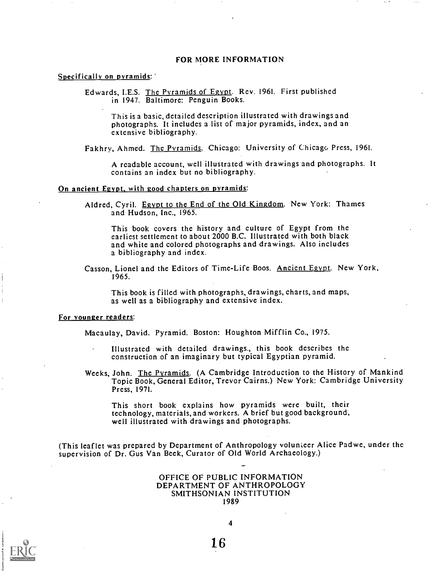#### FOR MORE INFORMATION

#### Specifically on pyramids:

Edwards, I.E.S. The Pyramids of Egypt. Rev. 1961. First published in 1947. Baltimore: Penguin Books.

This is a basic, detailed description illustrated with drawings and photographs. It includes a list of major pyramids, index, and an extensive bibliography.

Fakhry, Ahmed. The Pyramids. Chicago: University of Chicago Press, 1961.

A readable account, well illustrated with drawings and photographs. It contains an index but no bibliography.

#### On ancient Egypt, with good chapters on pyramids:

Aldred, Cyril. Egypt to the End of the Old Kingdom. New York: Thames and Hudson, Inc., 1965.

This book covers the history and culture of Egypt from the earliest settlement to about 2000 B.C. Illustrated with both black and white and colored photographs and drawings. Also includes a bibliography and index.

Casson, Lionel and the Editors of Time-Life Boos. Ancient Egypt. New York, 1965.

This book is filled with photographs, drawings, charts, and maps, as well as a bibliography and extensive index.

#### For younger readers:

Macaulay, David. Pyramid. Boston: Houghton Mifflin Co., 1975.

- Illustrated with detailed drawings., this book describes the construction of an imaginary but typical Egyptian pyramid.
- Weeks, John. The Pyramids. (A Cambridge Introduction to the History of Mankind Topic Book, General Editor, Trevor Cairns.) New York: Cambridge University Press, 1971.

This short book explains how pyramids were built, their technology, materials, and workers. A brief but good background, well illustrated with drawings and photographs.

(This leaflet was prepared by Department of Anthropology volunteer Alice Padwe, under the supervision of Dr. Gus Van Beek, Curator of Old World Archaeology.)

#### OFFICE OF PUBLIC INFORMATION DEPARTMENT OF ANTHROPOLOGY SMITHSONIAN INSTITUTION 1989